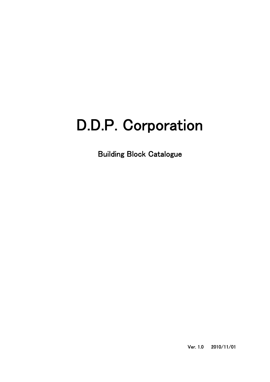## D.D.P. Corporation

Building Block Catalogue

Ver. 1.0 2010/11/01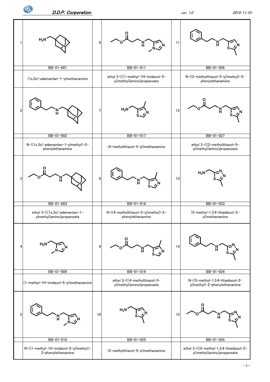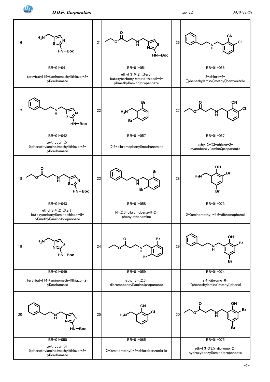

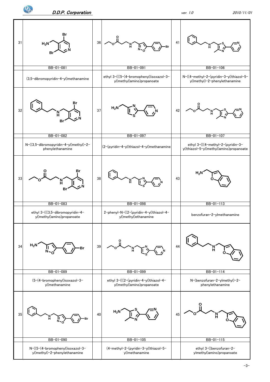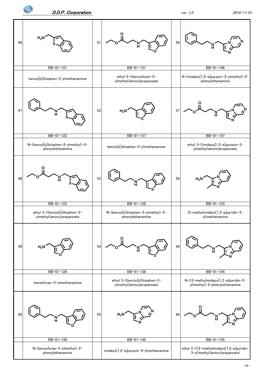

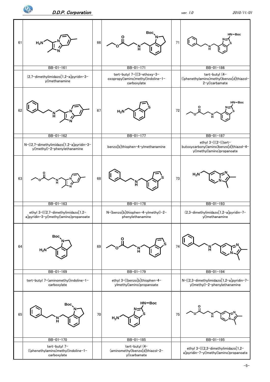![](_page_5_Figure_0.jpeg)

![](_page_5_Figure_3.jpeg)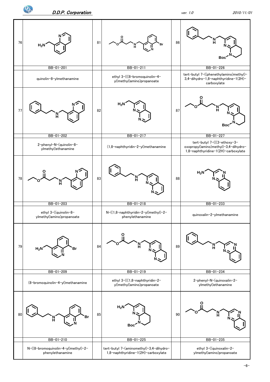![](_page_6_Figure_2.jpeg)

![](_page_6_Figure_3.jpeg)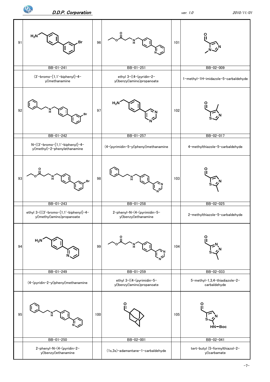![](_page_7_Figure_0.jpeg)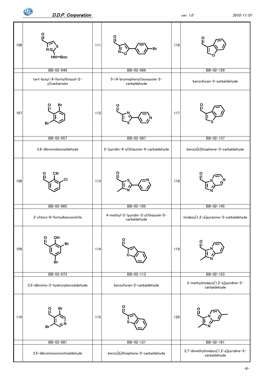![](_page_8_Figure_3.jpeg)

-8-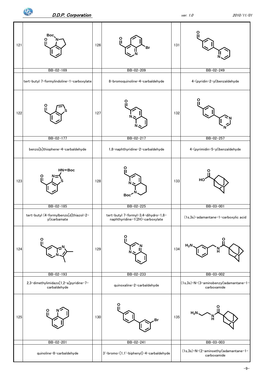![](_page_9_Figure_0.jpeg)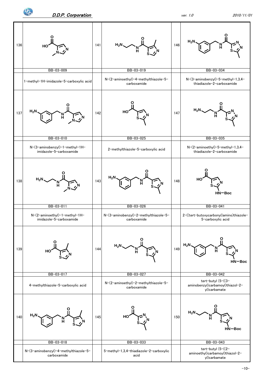$\mathbf{P}_\mathrm{c}$ 

![](_page_10_Figure_3.jpeg)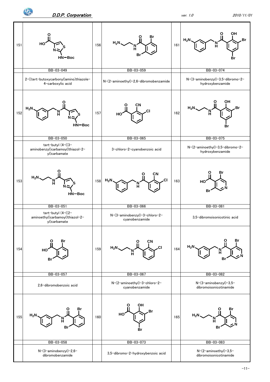$\mathbf{P}_{\mathbf{c}}$ 

![](_page_11_Figure_2.jpeg)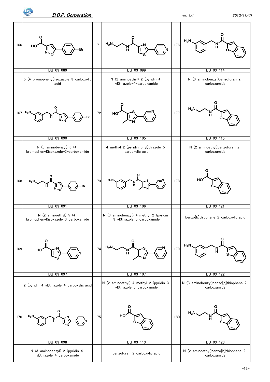![](_page_12_Figure_3.jpeg)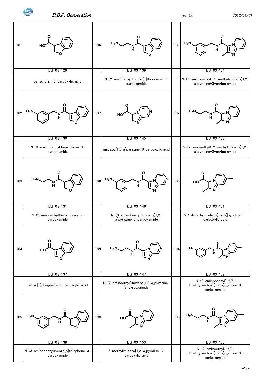$\mathbf{P}_{\!\!\mathrm{c}}$ 

![](_page_13_Figure_2.jpeg)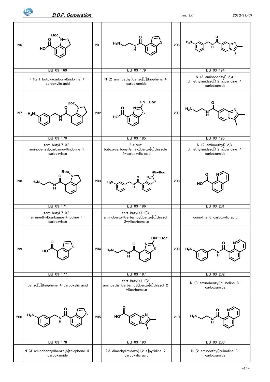$\Phi_{\!\!\rm c}$ 

![](_page_14_Figure_3.jpeg)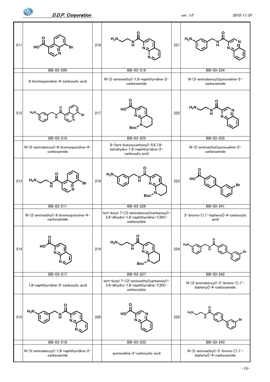![](_page_15_Figure_0.jpeg)

**O**

ᢩঠ

![](_page_15_Figure_2.jpeg)

**Br**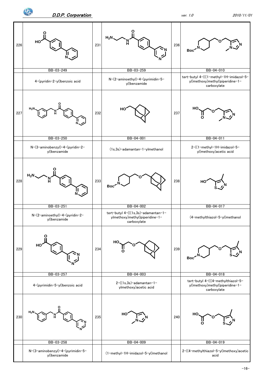![](_page_16_Figure_0.jpeg)

![](_page_16_Figure_1.jpeg)

**N**

**N**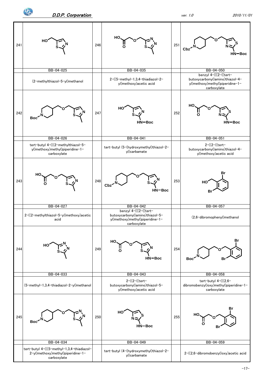![](_page_17_Figure_3.jpeg)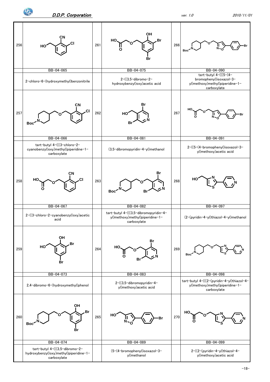![](_page_18_Figure_0.jpeg)

BB-04-074 BB-04-089 BB-04-079 BB-04-099 tert-butyl 4-(((3,5-dibromo-2 hydroxybenzyl)oxy)methyl)piperidine-1 carboxylate (5-(4-bromophenyl)isoxazol-3 yl)methanol 2-((2-(pyridin-4-yl)thiazol-4 yl)methoxy)acetic acid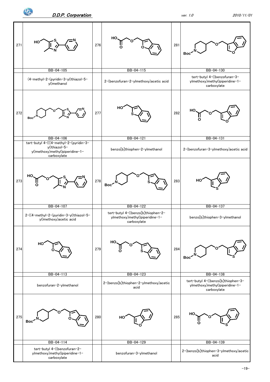![](_page_19_Figure_0.jpeg)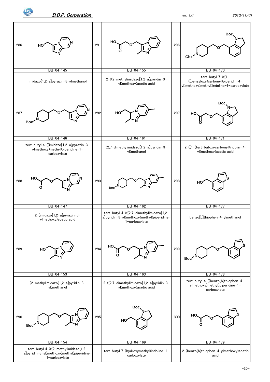![](_page_20_Figure_0.jpeg)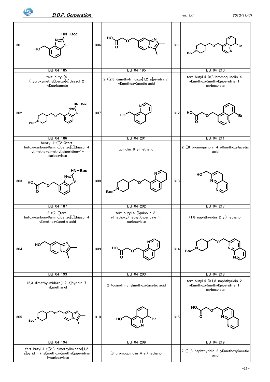$\mathbf{P}_{\!\!\mathrm{c}}$ 

![](_page_21_Figure_2.jpeg)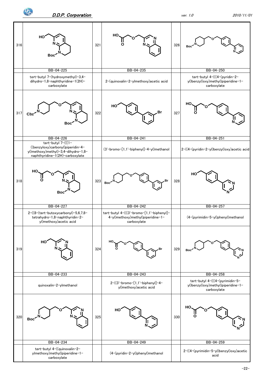$\mathbf{P}_{\!\!\mathrm{c}}$ 

![](_page_22_Figure_2.jpeg)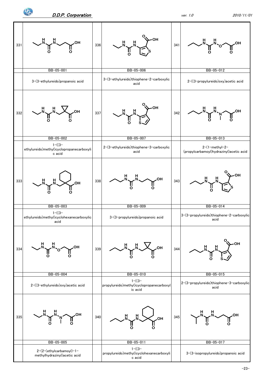![](_page_23_Figure_0.jpeg)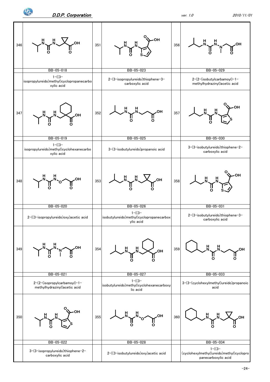![](_page_24_Figure_3.jpeg)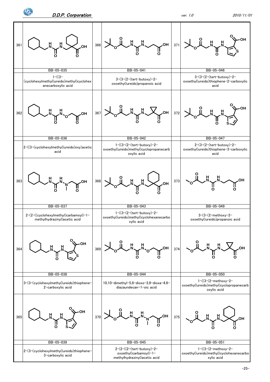![](_page_25_Figure_2.jpeg)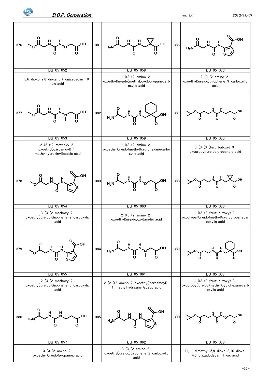![](_page_26_Figure_3.jpeg)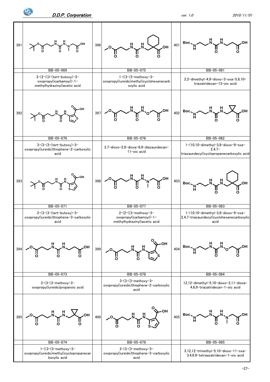![](_page_27_Figure_3.jpeg)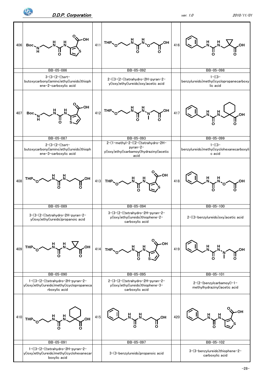![](_page_28_Figure_0.jpeg)

boxylic acid

 $\mathbf{P}_{\!\!\mathbf{O}}$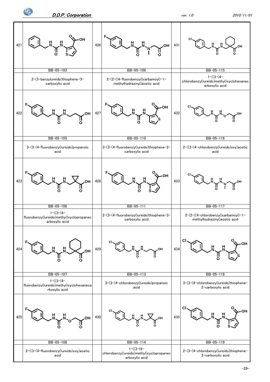![](_page_29_Figure_0.jpeg)

![](_page_29_Figure_2.jpeg)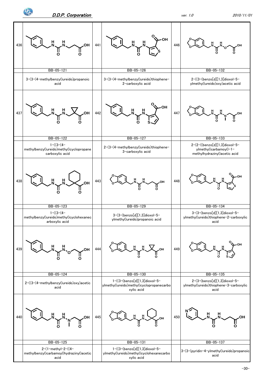![](_page_30_Figure_0.jpeg)

![](_page_30_Figure_3.jpeg)

-30-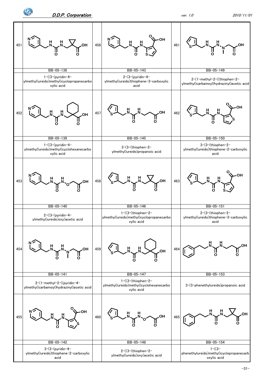![](_page_31_Figure_0.jpeg)

![](_page_31_Figure_3.jpeg)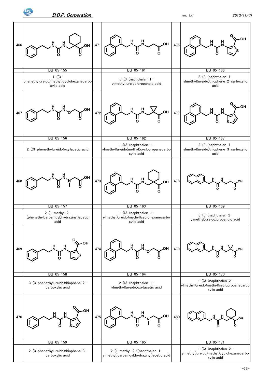![](_page_32_Figure_0.jpeg)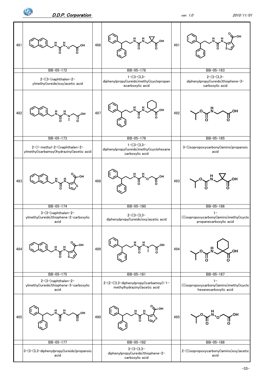![](_page_33_Figure_0.jpeg)

![](_page_33_Figure_3.jpeg)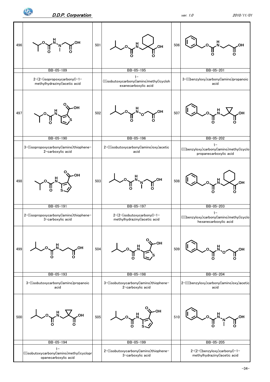![](_page_34_Figure_0.jpeg)

![](_page_34_Figure_3.jpeg)